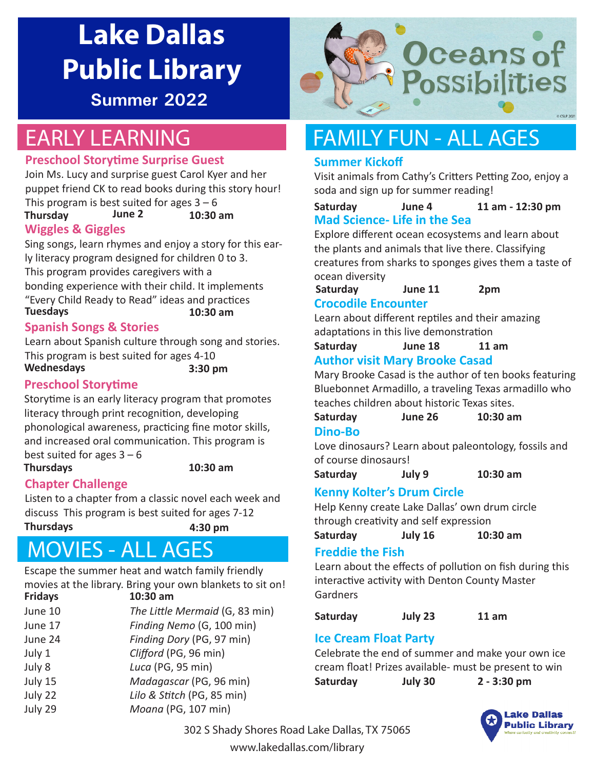# **Lake Dallas Public Library**

**Summer 2022**

### EARLY LEARNING

#### **Preschool Storytime Surprise Guest**

Join Ms. Lucy and surprise guest Carol Kyer and her puppet friend CK to read books during this story hour! This program is best suited for ages  $3 - 6$ 

**Thursday June 2 10:30 am**

#### **Wiggles & Giggles**

Sing songs, learn rhymes and enjoy a story for this early literacy program designed for children 0 to 3. This program provides caregivers with a bonding experience with their child. It implements

"Every Child Ready to Read" ideas and practices **Tuesdays 10:30 am**

#### **Spanish Songs & Stories**

Learn about Spanish culture through song and stories. This program is best suited for ages 4-10 **Wednesdays 3:30 pm**

#### **Preschool Storytime**

Storytime is an early literacy program that promotes literacy through print recognition, developing phonological awareness, practicing fine motor skills, and increased oral communication. This program is best suited for ages  $3 - 6$ **Thursdays 10:30 am**

#### **Chapter Challenge**

Listen to a chapter from a classic novel each week and discuss This program is best suited for ages 7-12 **Thursdays 4:30 pm**

### MOVIES - ALL AGES

Escape the summer heat and watch family friendly movies at the library. Bring your own blankets to sit on!

| <b>Fridays</b> | 10:30 am                       |
|----------------|--------------------------------|
| June 10        | The Little Mermaid (G, 83 min) |
| June 17        | Finding Nemo (G, 100 min)      |
| June 24        | Finding Dory (PG, 97 min)      |
| July 1         | Clifford (PG, 96 min)          |
| July 8         | Luca (PG, 95 min)              |
| July 15        | Madagascar (PG, 96 min)        |
| July 22        | Lilo & Stitch (PG, 85 min)     |
| July 29        | Moana (PG, 107 min)            |
|                |                                |



### FAMILY FUN - ALL AGES

#### **Summer Kickoff**

Visit animals from Cathy's Critters Petting Zoo, enjoy a soda and sign up for summer reading!

#### **Mad Science- Life in the Sea Saturday June 4 11 am - 12:30 pm**

Explore different ocean ecosystems and learn about the plants and animals that live there. Classifying creatures from sharks to sponges gives them a taste of ocean diversity

**Saturday June 11 2pm Crocodile Encounter**

Learn about different reptiles and their amazing adaptations in this live demonstration

**Author visit Mary Brooke Casad Saturday June 18 11 am**

Mary Brooke Casad is the author of ten books featuring Bluebonnet Armadillo, a traveling Texas armadillo who teaches children about historic Texas sites.

**Saturday June 26 10:30 am**

#### **Dino-Bo**

Love dinosaurs? Learn about paleontology, fossils and of course dinosaurs!

**Saturday July 9 10:30 am**

#### **Kenny Kolter's Drum Circle**

Help Kenny create Lake Dallas' own drum circle through creativity and self expression

**Saturday July 16 10:30 am**

#### **Freddie the Fish**

Learn about the effects of pollution on fish during this interactive activity with Denton County Master Gardners

**Saturday July 23 11 am**

#### **Ice Cream Float Party**

Celebrate the end of summer and make your own ice cream float! Prizes available- must be present to win **Saturday July 30 2 - 3:30 pm**



302 S Shady Shores Road Lake Dallas, TX 75065

www.lakedallas.com/library